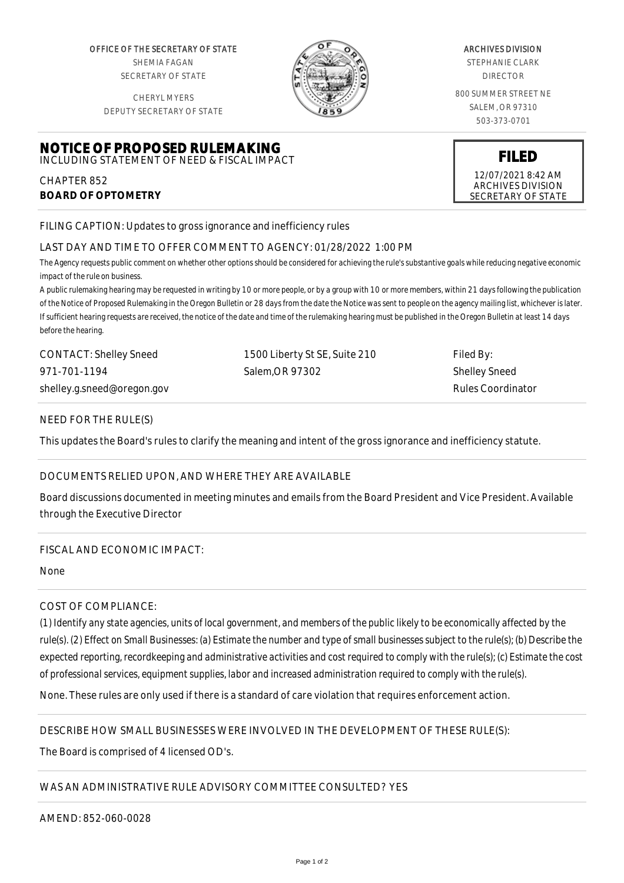OFFICE OF THE SECRETARY OF STATE SHEMIA FAGAN SECRETARY OF STATE

CHERYL MYERS DEPUTY SECRETARY OF STATE

**NOTICE OF PROPOSED RULEMAKING** INCLUDING STATEMENT OF NEED & FISCAL IMPACT



#### ARCHIVES DIVISION

STEPHANIE CLARK DIRECTOR

800 SUMMER STREET NE SALEM, OR 97310 503-373-0701

**FILED**

12/07/2021 8:42 AM ARCHIVES DIVISION SECRETARY OF STATE

FILING CAPTION: Updates to gross ignorance and inefficiency rules

# LAST DAY AND TIME TO OFFER COMMENT TO AGENCY: 01/28/2022 1:00 PM

*The Agency requests public comment on whether other options should be considered for achieving the rule's substantive goals while reducing negative economic impact of the rule on business.*

*A public rulemaking hearing may be requested in writing by 10 or more people, or by a group with 10 or more members, within 21 days following the publication of the Notice of Proposed Rulemaking in the Oregon Bulletin or 28 days from the date the Notice was sent to people on the agency mailing list, whichever is later. If sufficient hearing requests are received, the notice of the date and time of the rulemaking hearing must be published in the Oregon Bulletin at least 14 days before the hearing.*

| CONTACT: Shelley Sneed     | 1500 Liberty St SE, Suite 210 | Filed By:                |
|----------------------------|-------------------------------|--------------------------|
| 971-701-1194               | Salem.OR 97302                | Shelley Sneed            |
| shelley.g.sneed@oregon.gov |                               | <b>Rules Coordinator</b> |

### NEED FOR THE RULE(S)

CHAPTER 852

**BOARD OF OPTOMETRY**

This updates the Board's rules to clarify the meaning and intent of the gross ignorance and inefficiency statute.

## DOCUMENTS RELIED UPON, AND WHERE THEY ARE AVAILABLE

Board discussions documented in meeting minutes and emails from the Board President and Vice President. Available through the Executive Director

#### FISCAL AND ECONOMIC IMPACT:

None

## COST OF COMPLIANCE:

*(1) Identify any state agencies, units of local government, and members of the public likely to be economically affected by the rule(s). (2) Effect on Small Businesses: (a) Estimate the number and type of small businesses subject to the rule(s); (b) Describe the expected reporting, recordkeeping and administrative activities and cost required to comply with the rule(s); (c) Estimate the cost of professional services, equipment supplies, labor and increased administration required to comply with the rule(s).*

None. These rules are only used if there is a standard of care violation that requires enforcement action.

## DESCRIBE HOW SMALL BUSINESSES WERE INVOLVED IN THE DEVELOPMENT OF THESE RULE(S):

The Board is comprised of 4 licensed OD's.

## WAS AN ADMINISTRATIVE RULE ADVISORY COMMITTEE CONSULTED? YES

AMEND: 852-060-0028